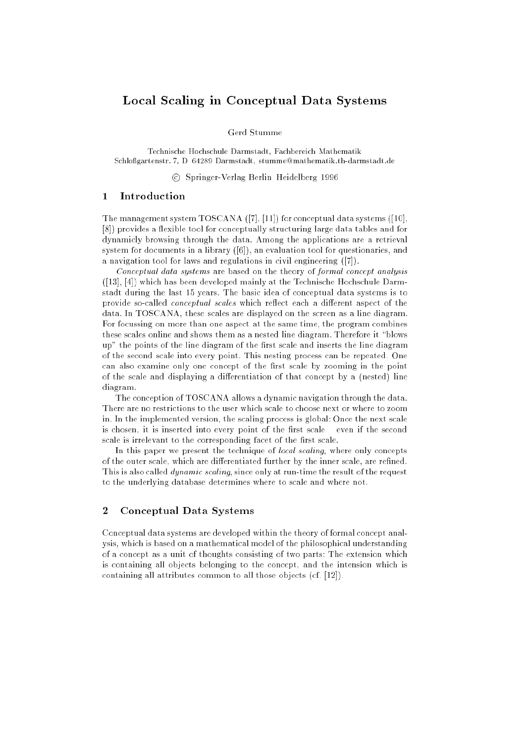# Local Scaling in Conceptual Data Systems

Gerd Stumme

Technische Hochschule Darmstadt, Fachbereich Mathematik Schloßgartenstr. 7, D-64289 Darmstadt, stumme@mathematik.th-darmstadt.de

<sup>c</sup> Springer-Verlag Berlin{Heidelberg 1996

### 1Introduction

The management system TOSCANA ([7], [11]) for conceptual data systems ([10], [8]) provides a flexible tool for conceptually structuring large data tables and for dynamicly browsing through the data. Among the applications are a retrieval system for documents in a library ([6]), an evaluation tool for questionaries, and a navigation tool for laws and regulations in civil engineering ([7]).

Conceptual data systems are based on the theory of formal concept analysis ([13], [4]) which has been developed mainly at the Technische Hochschule Darmstadt during the last 15 years. The basic idea of conceptual data systems is to provide so-called *conceptual scales* which reflect each a different aspect of the data. In TOSCANA, these scales are displayed on the screen as a line diagram. For focussing on more than one aspect at the same time, the program combines these scales online and shows them as a nested line diagram. Therefore it "blows up" the points of the line diagram of the first scale and inserts the line diagram of the second scale into every point. This nesting process can be repeated. One can also examine only one concept of the first scale by zooming in the point of the scale and displaying a differentiation of that concept by a (nested) line diagram.

The conception of TOSCANA allows a dynamic navigation through the data. There are no restrictions to the user which scale to choose next or where to zoom in. In the implemented version, the scaling process is global: Once the next scale is chosen, it is inserted into every point of the first scale  $-$  even if the second scale is irrelevant to the corresponding facet of the first scale.

In this paper we present the technique of *local scaling*, where only concepts of the outer scale, which are differentiated further by the inner scale, are refined. This is also called *dynamic scaling*, since only at run-time the result of the request to the underlying database determines where to scale and where not.

## 2Conceptual Data Systems

Conceptual data systems are developed within the theory of formal concept analysis, which is based on a mathematical model of the philosophical understanding of a concept as a unit of thoughts consisting of two parts: The extension which is containing all objects belonging to the concept, and the intension which is containing all attributes common to all those objects (cf. [12]).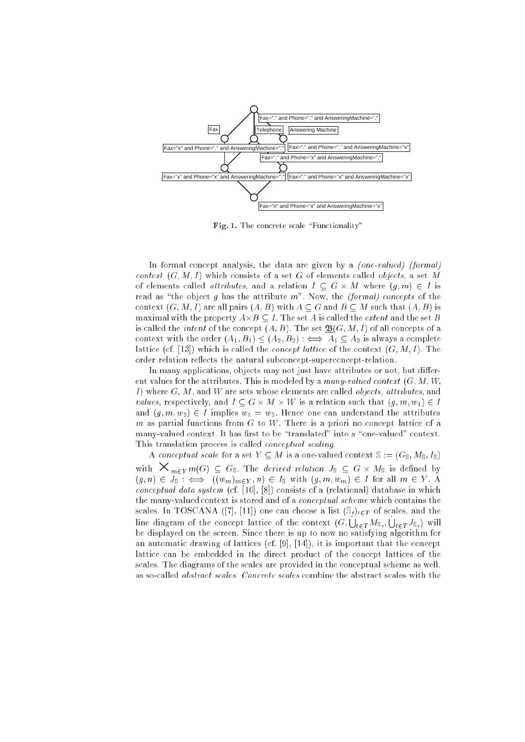

Fig. 1. The concrete scale \Functionality"

In formal concept analysis, the data are given by a *(one-valued) (formal)* context (G; M; I) which consists of a set G of elements called objects, a set M of elements called attributes, and a relation I is considered at  $\mathcal{A} = \{ \mathcal{A} \mid \mathcal{A} \in \mathcal{A} \}$ read as "the object g has the attribute  $m$ ". Now, the (formal) concepts of the context  $(G, M, I)$  are all pairs  $(A, B)$  with  $A \subseteq G$  and  $B \subseteq M$  such that  $(A, B)$  is maximalwith the property A-C is called the set A-C in the set A-C is called the set A-C is called the set B-C i is called the *intent* of the concept  $(A, B)$ . The set  $\underline{\mathfrak{B}}(G, M, I)$  of all concepts of a context with the order  $(A_1, B_1) \leq (A_2, B_2)$  :  $\iff A_1 \subseteq A_2$  is always a complete lattice (cf. [13]) which is called the *concept lattice* of the context  $(G, M, I)$ . The order relation reflects the natural subconcept-superconcept-relation.

In many applications, objects may not just have attributes or not, but different values for the attributes. This is modeled by a many-valued context  $(G, M, W)$ I) where  $G, M$ , and  $W$  are sets whose elements are called *objects*, attributes, and values, respectively, which is a contract that is a relation such that (g) with  $\alpha$  is a and  $(q, m, w_2) \in I$  implies  $w_1 = w_2$ . Hence one can understand the attributes m as partial functions from  $G$  to  $W$ . There is a priori no concept lattice of a many-valued context. It has first to be "translated" into a "one-valued" context. This translation process is called conceptual scaling.

A conceptual scale for a set  $Y \subseteq M$  is a one-valued context  $\mathbb{S} := (G_{\mathbb{S}}, M_{\mathbb{S}}, I_{\mathbb{S}})$ with  $m_{\text{min}}$  m(c)  $\equiv$  Gs. The derived relation by  $\equiv$  G  $m_{\text{min}}$  is defined by  $(g, n) \in J_{\mathbb{S}} : \iff ((w_m)_{m \in Y}, n) \in I_{\mathbb{S}} \text{ with } (g, m, w_m) \in I \text{ for all } m \in Y.$  A conceptual data system (cf. [10], [8]) consists of a (relational) database in which the many-valued context is stored and of a conceptual scheme which contains the scales. In TOSCANA ([7], [11]) one can choose a list  $(\mathbb{S}_t)_{t\in T}$  of scales, and the line diagram of the concept lattice of the context  $(G, \bigcup_{t\in T}M_{\mathbb S_t}, \bigcup_{t\in T}J_{\mathbb S_t})$  will be displayed on the screen. Since there is up to now no satisfying algorithm for an automatic drawing of lattices (cf. [9], [14]), it is important that the concept lattice can be embedded in the direct product of the concept lattices of the scales. The diagrams of the scales are provided in the conceptual scheme as well, as so-called abstract scales. Concrete scales combine the abstract scales with the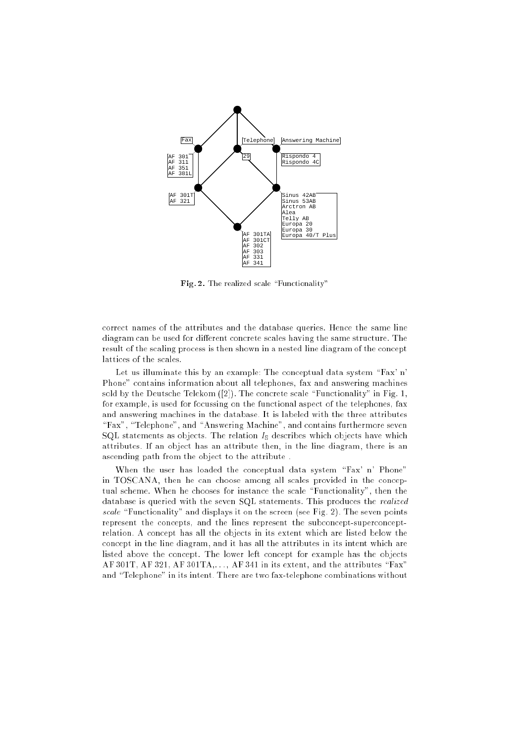

Fig. 2. The realized scale \Functionality"

correct names of the attributes and the database queries. Hence the same line diagram can be used for different concrete scales having the same structure. The result of the scaling process is then shown in a nested line diagram of the concept lattices of the scales.

Let us illuminate this by an example: The conceptual data system "Fax' n' Phone" contains information about all telephones, fax and answering machines sold by the Deutsche Telekom  $([2])$ . The concrete scale "Functionality" in Fig. 1, for example, is used for focussing on the functional aspect of the telephones, fax and answering machines in the database. It is labeled with the three attributes "Fax", "Telephone", and "Answering Machine", and contains furthermore seven SQL statements as objects. The relation  $I_{\rm s}$  describes which objects have which attributes. If an object has an attribute then, in the line diagram, there is an ascending path from the object to the attribute .

When the user has loaded the conceptual data system " $Fax'$  n' Phone" in TOSCANA, then he can choose among all scales provided in the conceptual scheme. When he chooses for instance the scale "Functionality", then the database is queried with the seven SQL statements. This produces the realized scale  $\Gamma$  -matrix it on the secretary it on the secretary (see Fig. 2). The secretary points  $\Gamma$ represent the concepts, and the lines represent the subconcept-superconceptrelation. A concept has all the objects in its extent which are listed below the concept in the line diagram, and it has all the attributes in its intent which are listed above the concept. The lower left concept for example has the objects AF 301T, AF 321, AF 301TA,..., AF 341 in its extent, and the attributes "Fax" and "Telephone" in its intent. There are two fax-telephone combinations without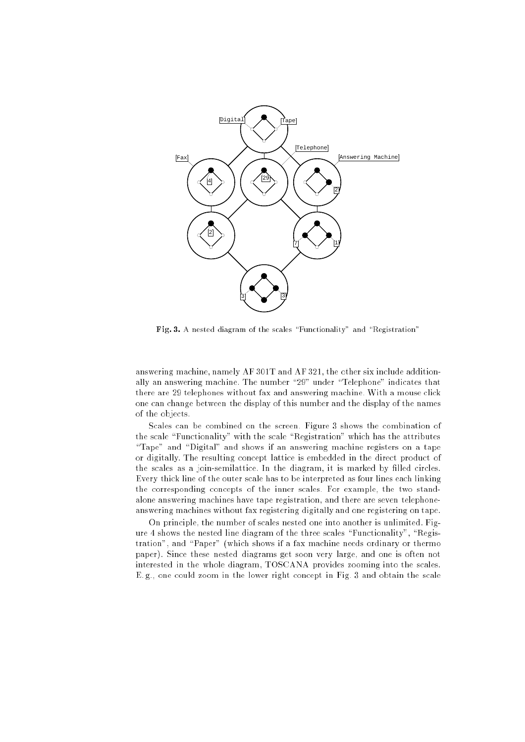

Fig. 3. A nested diagram of the scales  $\mathcal{F}$  and  $\mathcal{F}$  and  $\mathcal{F}$  and  $\mathcal{F}$ 

answering machine, namely AF 301T and AF 321, the other six include additionally an answering machine. The number "29" under "Telephone" indicates that there are 29 telephones without fax and answering machine. With a mouse click one can change between the display of this number and the display of the names of the objects.

Scales can be combined on the screen. Figure 3 shows the combination of the scale "Functionality" with the scale "Registration" which has the attributes "Tape" and "Digital" and shows if an answering machine registers on a tape or digitally. The resulting concept lattice is embedded in the direct product of the scales as a join-semilattice. In the diagram, it is marked by filled circles. Every thick line of the outer scale has to be interpreted as four lines each linking the corresponding concepts of the inner scales. For example, the two standalone answering machines have tape registration, and there are seven telephoneanswering machines without fax registering digitally and one registering on tape.

On principle, the number of scales nested one into another is unlimited. Figure 4 shows the nested line diagram of the three scales "Functionality", "Registration", and \Paper" (which shows if a fax machine needs ordinary or thermo paper). Since these nested diagrams get soon very large, and one is often not interested in the whole diagram, TOSCANA provides zooming into the scales. E. g., one could zoom in the lower right concept in Fig. 3 and obtain the scale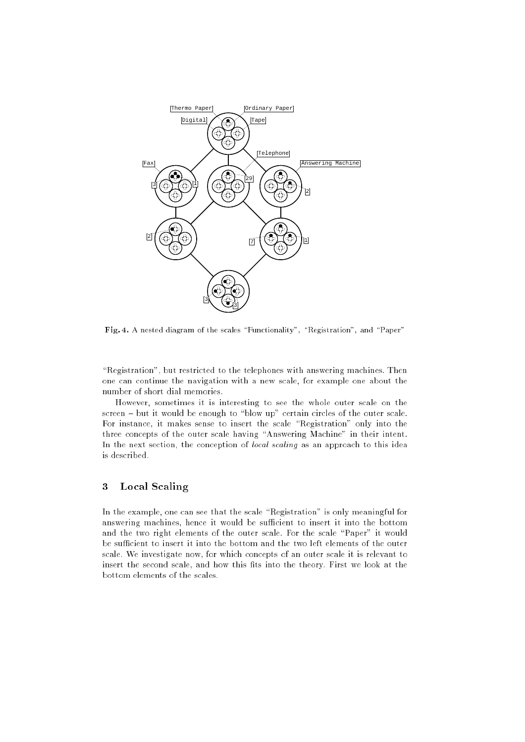

Fig. 4. A nested diagram of the scales  $\mathcal{I}$  and  $\mathcal{I}$  , and  $\mathcal{I}$  and  $\mathcal{I}$  and  $\mathcal{I}$ 

"Registration", but restricted to the telephones with answering machines. Then one can continue the navigation with a new scale, for example one about the number of short dial memories.

However, sometimes it is interesting to see the whole outer scale on the  $s$ creen  $-$  but it would be enough to "blow up" certain circles of the outer scale. For instance, it makes sense to insert the scale "Registration" only into the three concepts of the outer scale having "Answering Machine" in their intent. In the next section, the conception of *local scaling* as an approach to this idea is described.

# 3Local Scaling

In the example, one can see that the scale "Registration" is only meaningful for answering machines, hence it would be sufficient to insert it into the bottom and the two right elements of the outer scale. For the scale "Paper" it would be sufficient to insert it into the bottom and the two left elements of the outer scale. We investigate now, for which concepts of an outer scale it is relevant to insert the second scale, and how this fits into the theory. First we look at the bottom elements of the scales.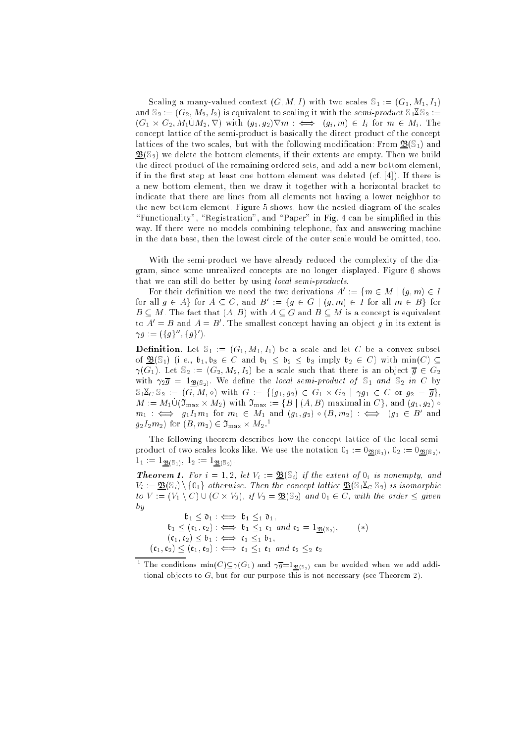Scaling a many-valued context  $(G, M, I)$  with two scales  $\mathbb{S}_1 := (G_1, M_1, I_1)$ and  $\mathbb{S}_2 := (G_2, M_2, I_2)$  is equivalent to scaling it with the semi-product  $\mathbb{S}_1 \mathbb{X} \mathbb{S}_2 :=$  $\{G_1 \cap G_2, \dots \cap G_n\}$  with  $\{G_1, G_2\}$  rm  $\cdots$   $\leftarrow$   $\rightarrow$   $\{G_i, \dots \}$  and  $\cdots$   $\cdots$   $\cdots$   $\cdots$ concept lattice of the semi-product is basically the direct product of the concept lattices of the two scales, but with the following modification: From  $\mathfrak{B}(\mathbb{S}_1)$  and  $\mathfrak{B}(\mathbb{S}_2)$  we delete the bottom elements, if their extents are empty. Then we build the direct product of the remaining ordered sets, and add a new bottom element, if in the first step at least one bottom element was deleted  $(cf. [4])$ . If there is a new bottom element, then we draw it together with a horizontal bracket to indicate that there are lines from all elements not having a lower neighbor to the new bottom element. Figure 5 shows, how the nested diagram of the scales "Functionality", "Registration", and "Paper" in Fig. 4 can be simplified in this way. If there were no models combining telephone, fax and answering machine in the data base, then the lowest circle of the outer scale would be omitted, too.

With the semi-product we have already reduced the complexity of the diagram, since some unrealized concepts are no longer displayed. Figure 6 shows that we can still do better by using local semi-products.

For their definition we need the two derivations  $A^+:= \{m \in M \mid (q,m) \in I\}$ for all  $q \in A$  for  $A \subseteq G$ , and  $B^{\dagger} \equiv \{q \in G \mid (q, m) \in I \text{ for all } m \in B\}$  for  $B \subseteq M$ . The fact that  $(A, B)$  with  $A \subseteq G$  and  $B \subseteq M$  is a concept is equivalent to  $A = B$  and  $A = B$ . The smallest concept having an object q in its extent is  $\gamma q := ( \{ q \} \cap \{ q \} )$ .

**Definition.** Let  $\mathbb{S}_1 := (G_1, M_1, I_1)$  be a scale and let C be a convex subset of  $\mathfrak{B}(\mathbb{S}_1)$  (i.e.,  $\mathfrak{b}_1, \mathfrak{b}_3 \in C$  and  $\mathfrak{b}_1 \leq \mathfrak{b}_2 \leq \mathfrak{b}_3$  imply  $\mathfrak{b}_2 \in C$ ) with  $\min(C) \subseteq$  $\gamma(G_1)$ . Let  $\mathbb{S}_2 := (G_2, M_2, I_2)$  be a scale such that there is an object  $\overline{g} \in G_2$ with  $\gamma_2 \overline{g} = 1_{\mathfrak{B}(\mathbb{S}_2)}$ . We define the local semi-product of  $\mathbb{S}_1$  and  $\mathbb{S}_2$  in C by  $S_1 \times_S S_2 := (G, M, \diamond)$  with  $G := \{ (g_1, g_2) \in G_1 \times G_2 \mid \gamma g_1 \in C \text{ or } g_2 = \overline{g} \},\$  $m = m_1 \cup (\nu_{\text{max}} \land m_2)$  with  $\nu_{\text{max}} := \top \nu + \tau_{\text{max}}$  indicating in  $\cup \top$ , and  $(g_1, g_2)$  is  $m_1$   $\iff$   $q_11_1m_1$  for  $m_1 \in M_1$  and  $(q_1, q_2) \diamond (B, m_2)$  :  $\iff$   $(q_1 \in B)$  and  $g_2 I_2 m_2$  for  $(B, m_2) \in J_{\text{max}} \times M_2$ .

The following theorem describes how the concept lattice of the local semiproduct of two scales looks like. We use the notation  $0_1 := 0_{\mathfrak{B}(\mathbb{S}_1)}, 0_2 := 0_{\mathfrak{B}(\mathbb{S}_2)},$  $1_1 := 1_{\mathfrak{B}(\mathbb{S}_1)}, 1_2 := 1_{\mathfrak{B}(\mathbb{S}_2)}.$ 

**Theorem 1.** For  $i = 1, 2$ , let  $V_i := \mathcal{B}(\mathbb{S}_i)$  if the extent of  $0_i$  is nonempty, and  $V_i := \underline{\mathfrak{B}}(\mathbb{S}_i) \setminus \{0_1\}$  otherwise. Then the concept lattice  $\underline{\mathfrak{B}}(\mathbb{S}_1 \mathbb{X}_C \mathbb{S}_2)$  is isomorphic  $\tau$  : (VI )  $\tau$  )  $\tau$  (C  $\tau$  if  $\tau$  if  $\tau$  is  $\tau$  if  $\tau$  if  $\tau$  if  $\tau$  if  $\tau$  if  $\tau$  if  $\tau$  if  $\tau$  if  $\tau$  if  $\tau$  if  $\tau$  if  $\tau$  if  $\tau$  if  $\tau$  if  $\tau$  if  $\tau$  if  $\tau$  if  $\tau$  if  $\tau$  if  $\tau$  if  $\tau$  if  $-$ 

b1 = t1 : () b1 t1 = 1 t1 1 b1 (c1; c2) : () b1 1 c1 and c2 = 1B(S2); ()  $\mathbf{1}$  : ()  $\mathbf{1}$  : () can be calculated to the case of the case of the case of the case of the case of the case of the case of the case of the case of the case of the case of the case of the case of the case of the (c1; c2) (e1; e2) : () c1 1 e1 and c2 2 e2

The conditions  $\min(U)\subseteq \gamma(G_1)$  and  $\gamma g\mathop{=_{1}}\nolimits_{\mathfrak{B}(S_2)}$  can be avoided when we add additional objects to  $G$ , but for our purpose this is not necessary (see Theorem 2).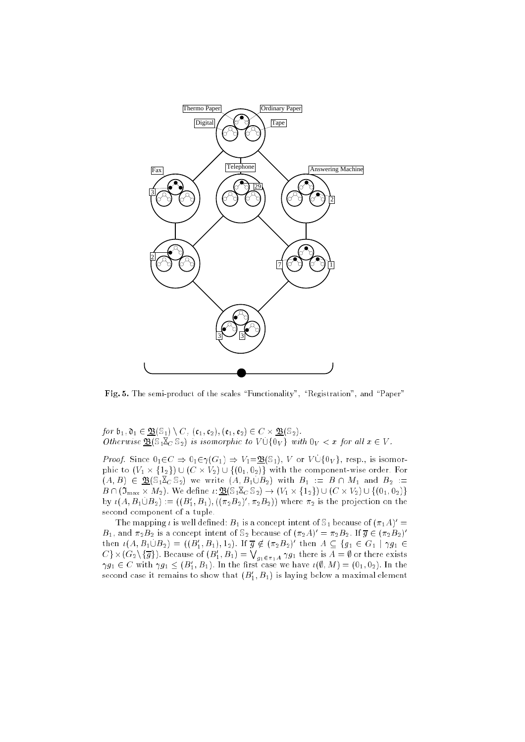

Fig. 5. The semi-product of the semi-productional  $\Gamma$  sequences  $\Gamma$  and  $\Gamma$  and  $\Gamma$ 

for a final construction of the construction of the construction of the construction of the construction of the Otherwise  $\underline{\mathfrak{B}}(\mathbb{S}_1 \mathbb{X}_C \mathbb{S}_2)$  is isomorphic to  $V \cup \{0_V\}$  with  $0_V < x$  for all  $x \in V$ .

 $P$  is defined by  $P$  and  $P$  is  $P$  or  $P$  is  $P$  and  $P$  is  $Q$  is  $Q$  is  $Q$  and  $Q$  is isomorprice to (V1  $\leq$  1  $\leq$  1  $\leq$  1  $\leq$  1  $\leq$  1  $\leq$  1  $\leq$  101;  $\leq$  101; order with the component-wise order.  $(A, B) \in \mathfrak{B}(\mathbb{S}_1 \mathbb{X}_C \mathbb{S}_2)$  we write  $(A, B_1 \cup B_2)$  with  $B_1 := B \cap M_1$  and  $B_2 :=$  $B \cap (\mathfrak{I}_{\max} \times M_2)$ . We define  $\iota: \mathfrak{B}(\mathbb{S}_1 \mathbb{Z}_C \mathbb{S}_2) \to (V_1 \times \{1_2\}) \cup (C \times V_2) \cup \{(0_1, 0_2)\}\$ by  $\iota(A, B_1 \cup B_2) := ((B_1, B_1), ((\pi_2 B_2), \pi_2 B_2))$  where  $\pi_2$  is the projection on the second component of a tuple.

The mapping *i* is well defined:  $B_1$  is a concept intent of  $\Im_1$  because of  $(\pi_1 A)$  =  $B_1$ , and  $\pi_2 B_2$  is a concept intent of  $\mathfrak{d}_2$  because of  $(\pi_2 A) \equiv \pi_2 B_2$ . If  $g \in (\pi_2 B_2)$ then  $\iota(A, B_1 \cup B_2) = (\iota(B_1, B_1), 1_2)$ . If  $g \notin (\pi_2 B_2)$  then  $A \subseteq \{g_1 \in G_1 \mid \gamma g_1 \in B_2\}$  $C$ }  $\times$   $(G_2\setminus \{\overline{g}\})$ . Because of  $(B_1',B_1)=\bigvee_{g_1\in \pi_1A}\gamma g_1$  there is  $A=\emptyset$  or there exists  $\gamma g_1 \in \mathbb{C}$  with  $\gamma g_1 \leq (B_1, B_1)$ . In the first case we have  $\iota(\emptyset, M) = (0_1, 0_2)$ . In the second case it remains to show that  $(D_1,D_1)$  is laying below a maximal element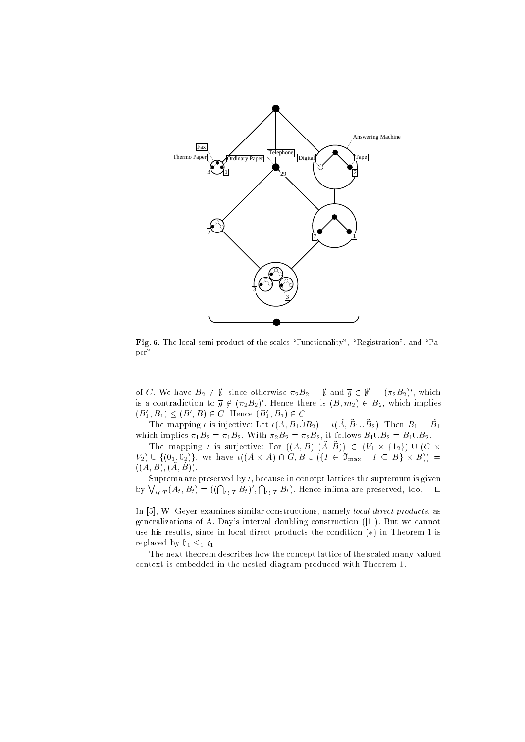

Fig. 6. The local semi-product of the scales  $\mathcal{F}$  and  $\mathcal{F}$  , and  $\mathcal{F}$  and  $\mathcal{F}$ per"

of C. We have  $B_2 \neq y$ , since otherwise  $\pi_2 B_2 = y$  and  $g \in y = (\pi_2 B_2)$  , which is a contradiction to  $g \notin (\pi_2B_2)$  . Hence there is  $(B, m_2) \in B_2$ , which implies  $(D_1, D_1) \leq (D_1, D) \in \mathbb{C}$ . Hence  $(D_1, D_1) \in \mathbb{C}$ .

The mapping *i* is injective. Let  $i(A, B_1 \cup B_2) = i(A, B_1 \cup B_2)$ . Then  $B_1 = B_1$ which implies  $n_1D_2 = n_1D_2$ . With  $n_2D_2 = n_2D_2$ , it follows  $D_1 \cup D_2 = D_1 \cup D_2$ .

The mapping *i* is surjective. For  $((A, D), (A, D)) \subset (V_1 \wedge T_2) \cup (C \wedge T_1)$  $V_2$ )  $\cup$   $\cup$   $\cup$ ,  $V_2$ )  $\cap$ , we have  $\iota$   $\cup$   $\alpha$   $\land$   $\alpha$ )  $\cap$   $\cup$   $\cup$   $\cup$   $\in$   $\cup$   $\cup$   $\cup$   $\alpha$   $\mid$   $\alpha$   $\mid$   $\alpha$   $\mid$   $\alpha$   $\mid$   $\alpha$   $\mid$   $\alpha$   $\mid$   $\alpha$   $\mid$   $\alpha$   $\mid$   $\alpha$   $\mid$   $\alpha$   $\mid$   $\alpha$   $\mid$   $((A, B), (\tilde{A}, \tilde{B})).$ 

Suprema are preserved by  $\iota$ , because in concept lattices the supremum is given by  $\bigvee_{t\in T}(A_t, B_t) = ((\bigcap_{t\in T} B_t)', \bigcap_{t\in T} B_t)$ . Hence infima are preserved, too.  $\Box$ 

In [5], W. Geyer examines similar constructions, namely local direct products, as generalizations of A. Day's interval doubling construction ([1]). But we cannot use his results, since in local direct products the condition  $(*)$  in Theorem 1 is replaced by  $\mathfrak{b}_1 \leq_1 \mathfrak{c}_1$ .

The next theorem describes how the concept lattice of the scaled many-valued context is embedded in the nested diagram produced with Theorem 1.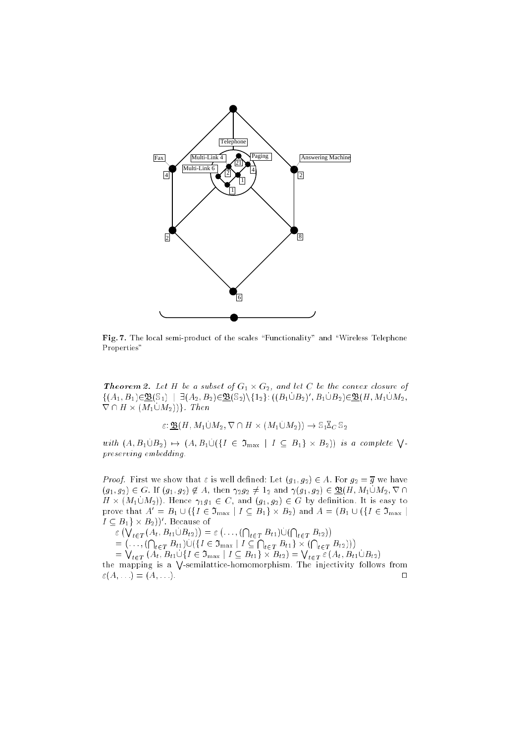

Fig. 7. The local semi-product of the semi-productional index  $\mathcal{L}$  and  $\mathcal{L}$ Properties"

 $\blacksquare$  . Let  $\blacksquare$  . Let  $\blacksquare$  be a subset of  $G_1$  or  $G_2$ , and let  $G$  be the convex closure of  $\{(A_1, B_1) \in \mathcal{D} \cup \emptyset | \}$  |  $\exists (A_2, B_2) \in \mathcal{D} \cup \{2\} \setminus \{12\}$ :  $\{(B_1 \cup B_2), (B_1 \cup B_2) \in \mathcal{D} \cup (H, M_1 \cup M_2),$  $\mathbf{v}$  +  $\mathbf{u}$   $\mathbf{u}$   $\mathbf{v}$   $\mathbf{v}$   $\mathbf{u}$   $\mathbf{v}$   $\mathbf{v}$   $\mathbf{v}$   $\mathbf{v}$   $\mathbf{v}$   $\mathbf{v}$   $\mathbf{v}$   $\mathbf{v}$   $\mathbf{v}$   $\mathbf{v}$   $\mathbf{v}$   $\mathbf{v}$   $\mathbf{v}$   $\mathbf{v}$   $\mathbf{v}$   $\mathbf{v}$   $\mathbf{v}$   $\mathbf{v}$   $\math$ 

 $\varepsilon \colon \mathbf{\underline{\mathfrak{B}}}(H,M_1 \cup M_2, \nabla \cap H \times (M_1 \cup M_2)) \to \mathbb{S}_1 \mathbb{X}_C \mathbb{S}_2$ 

with  $(A, B_1 \cup B_2) \rightarrow (A, B_1 \cup (\{I \in \mathfrak{I}_{max} \mid I \subseteq B_1 \} \times B_2))$  is a complete  $\bigvee$ preserving embedding.

 $\Gamma$  is group. First we show that is well defined: Let  $\Gamma$  is gauge  $\Gamma$  and  $\Gamma$  and  $\Gamma$  $(g_1, g_2) \in G$ . If  $(g_1, g_2) \notin A$ , then  $\gamma_2 g_2 \neq 1_2$  and  $\gamma(g_1, g_2) \in \underline{\mathfrak{B}}(H, M_1 \cup M_2, \nabla \cap$  $H \sim (M_1 \cup M_2)$ . Hence  $M_1$  is  $C \cup$ , and  $(M_1, M_2) \subset U$  by definition. It is easy to prove that  $A = B_1 \cup (\{I \in J_{\max} \mid I \subseteq B_1\} \times B_2)$  and  $A = (B_1 \cup (\{I \in J_{\max} \mid I \cap B_2\})$  $I \subseteq B_1 \ \times B_2$ ). Because of

 $(\bigvee_{t \in T} (A_t, B_{t1} \cup B_{t2}))$  $\sim$  $\ldots$ ,  $(\bigcap_{t \in T} B_{t1}) \cup (\bigcap_{t \in T} B_{t2})$  - - $\ldots, (\bigcap_{t \in T} B_{t1}) \cup (\{I \in \mathfrak{I}_{\max} \mid I \subseteq \bigcap_{t \in T} B_{t1}\} \times (\bigcap_{t \in T} B_{t2})))$  $=\bigvee_{t\in T} (A_t, B_{t1}\cup \{I\in \mathfrak{I}_{\max} \mid I\subseteq B_{t1}\}\times B_{t2}) = \bigvee_{t\in T} \varepsilon (A_t, B_{t1}\cup B_{t2})$ 

the mapping is a  $\sqrt{\ }$ -semilattice-homomorphism. The injectivity follows from  $\varepsilon(A, \ldots) = (A, \ldots).$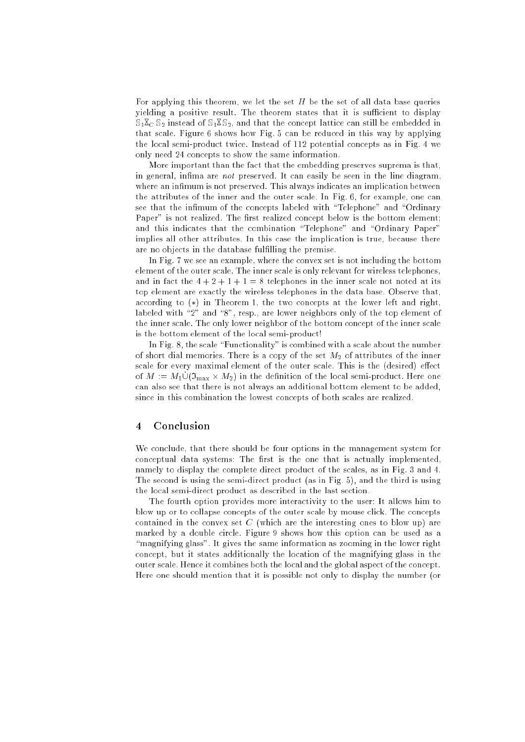For applying this theorem, we let the set  $H$  be the set of all data base queries yielding a positive result. The theorem states that it is sufficient to display  $S_1 \overline{X}_C S_2$  instead of  $S_1 \overline{X} S_2$ , and that the concept lattice can still be embedded in that scale. Figure 6 shows how Fig. 5 can be reduced in this way by applying the local semi-product twice. Instead of 112 potential concepts as in Fig. 4 we only need 24 concepts to show the same information.

More important than the fact that the embedding preserves suprema is that, in general, infima are *not* preserved. It can easily be seen in the line diagram, where an infimum is not preserved. This always indicates an implication between the attributes of the inner and the outer scale. In Fig. 6, for example, one can see that the infimum of the concepts labeled with "Telephone" and "Ordinary Paper" is not realized. The first realized concept below is the bottom element; and this indicates that the combination "Telephone" and "Ordinary Paper" implies all other attributes. In this case the implication is true, because there are no objects in the database fulfilling the premise.

In Fig. 7 we see an example, where the convex set is not including the bottom element of the outer scale. The inner scale is only relevant for wireless telephones, and in fact the  $4+2+1+1=8$  telephones in the inner scale not noted at its top element are exactly the wireless telephones in the data base. Observe that, according to  $(*)$  in Theorem 1, the two concepts at the lower left and right, labeled with "2" and "8", resp., are lower neighbors only of the top element of the inner scale. The only lower neighbor of the bottom concept of the inner scale is the bottom element of the local semi-product!

In Fig. 8, the scale "Functionality" is combined with a scale about the number of short dial memories. There is a copy of the set  $M_2$  of attributes of the inner scale for every maximal element of the outer scale. This is the (desired) effect  $\sigma$   $\mu$   $\rightarrow$   $\mu$   $\sim$   $\mu$ <sub>max</sub>  $\sim$   $\mu$ <sub>z</sub> $\mu$  in the definition of the local semi-product. Here one can also see that there is not always an additional bottom element to be added, since in this combination the lowest concepts of both scales are realized.

### 4Conclusion

We conclude, that there should be four options in the management system for conceptual data systems: The first is the one that is actually implemented, namely to display the complete direct product of the scales, as in Fig. 3 and 4. The second is using the semi-direct product (as in Fig. 5), and the third is using the local semi-direct product as described in the last section.

The fourth option provides more interactivity to the user: It allows him to blow up or to collapse concepts of the outer scale by mouse click. The concepts contained in the convex set  $C$  (which are the interesting ones to blow up) are marked by a double circle. Figure 9 shows how this option can be used as a "magnifying glass". It gives the same information as zooming in the lower right concept, but it states additionally the location of the magnifying glass in the outer scale. Hence it combines both the local and the global aspect of the concept. Here one should mention that it is possible not only to display the number (or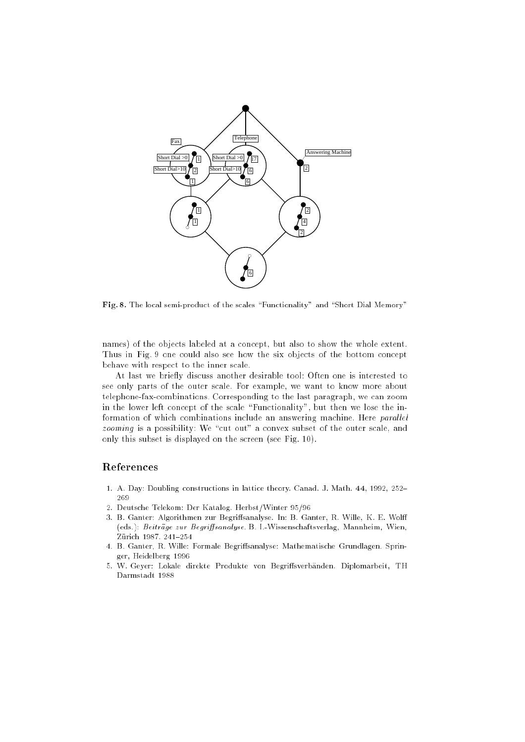

Fig. 8. The local semi-product of the scales \Functionality" and \Short Dial Memory"

names) of the objects labeled at a concept, but also to show the whole extent. Thus in Fig. 9 one could also see how the six objects of the bottom concept behave with respect to the inner scale.

At last we briefly discuss another desirable tool: Often one is interested to see only parts of the outer scale. For example, we want to know more about telephone-fax-combinations. Corresponding to the last paragraph, we can zoom in the lower left concept of the scale "Functionality", but then we lose the information of which combinations include an answering machine. Here *parallel* zooming is a possibility: We \cut out" a convex subset of the outer scale, and only this subset is displayed on the screen (see Fig. 10).

# References

- 1. A. Day: Doubling constructions in lattice theory. Canad. J. Math. 44, 1992, 252-269
- 2. Deutsche Telekom: Der Katalog. Herbst/Winter 95/96
- 3. B. Ganter: Algorithmen zur Begriffsanalyse. In: B. Ganter, R. Wille, K. E. Wolff (eds.): Beiträge zur Begriffsanalyse. B. I.-Wissenschaftsverlag, Mannheim, Wien, Zürich 1987. 241-254
- 4. B. Ganter, R. Wille: Formale Begriffsanalyse: Mathematische Grundlagen. Springer, Heidelberg 1996
- 5. W. Geyer: Lokale direkte Produkte von Begriffsverbänden. Diplomarbeit, TH Darmstadt 1988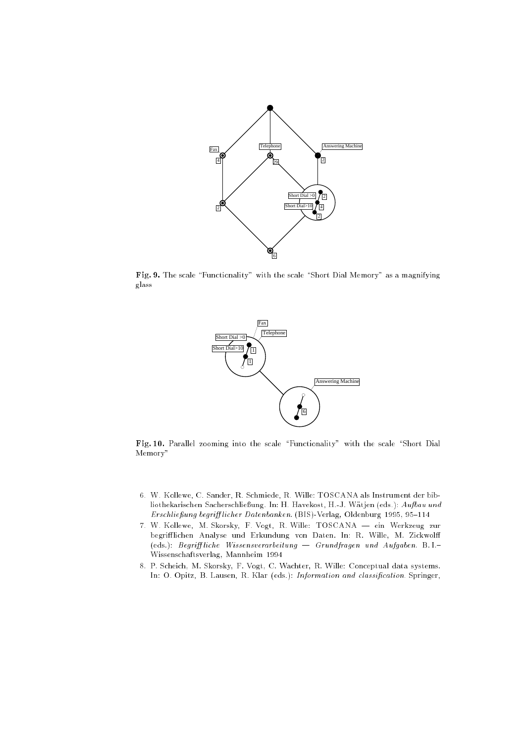

 $F_{\rm eff}$  ,  $\gamma$  and scale  $\gamma$  are stated memory with the scale  $\gamma$  Dial Memory  $\gamma$  as a magnificant glass



Fig. I. Parallel  $\Gamma$  are scaled the scale  $\Gamma$  the scale  $\Gamma$  with the scale  $\Gamma$ Memory"

- 6. W. Kollewe, C. Sander, R. Schmiede, R. Wille: TOSCANA als Instrument der bibliothekarischen Sacherschließung. In: H. Havekost, H.-J. Wätjen (eds.): Aufbau und Erschließung begrifflicher Datenbanken. (BIS)-Verlag, Oldenburg 1995, 95-114
- 7. W. Kollewe, M. Skorsky, F. Vogt, R. Wille: TOSCANA ein Werkzeug zur begrifflichen Analyse und Erkundung von Daten. In: R. Wille, M. Zickwolff (eds.): Begriff liche Wissensverarbeitung  $-$  Grundfragen und Aufgaben. B.I.-Wissenschaftsverlag, Mannheim 1994
- 8. P. Scheich, M. Skorsky, F. Vogt, C. Wachter, R. Wille: Conceptual data systems. In: O. Opitz, B. Lausen, R. Klar (eds.): Information and classification. Springer,